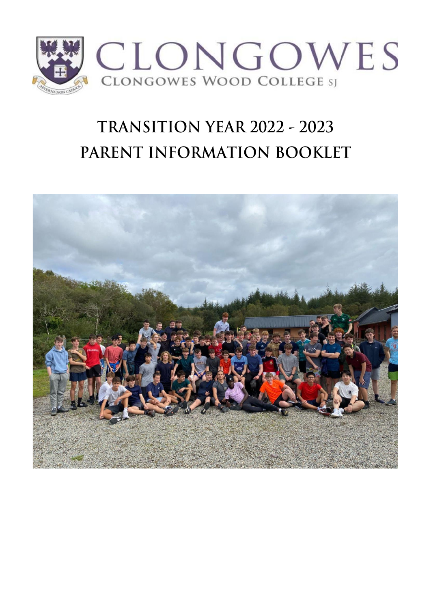

# TRANSITION YEAR 2022 - 2023 PARENT INFORMATION BOOKLET

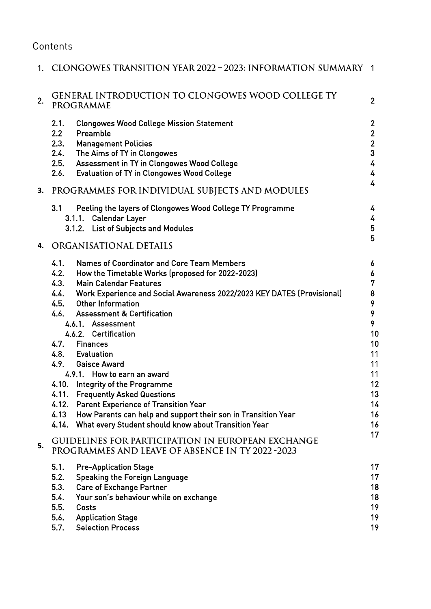## **Contents**

| $1_{\cdot}$ | CLONGOWES TRANSITION YEAR 2022 – 2023: INFORMATION SUMMARY                                                                                                                                                                                                                                                                                                                                                                                                                                                                                                                                                                                                                                                                                                                         | $\blacksquare$                                                                                    |
|-------------|------------------------------------------------------------------------------------------------------------------------------------------------------------------------------------------------------------------------------------------------------------------------------------------------------------------------------------------------------------------------------------------------------------------------------------------------------------------------------------------------------------------------------------------------------------------------------------------------------------------------------------------------------------------------------------------------------------------------------------------------------------------------------------|---------------------------------------------------------------------------------------------------|
| 2.          | <b>GENERAL INTRODUCTION TO CLONGOWES WOOD COLLEGE TY</b><br>PROGRAMME                                                                                                                                                                                                                                                                                                                                                                                                                                                                                                                                                                                                                                                                                                              | $\overline{2}$                                                                                    |
|             | 2.1.<br><b>Clongowes Wood College Mission Statement</b><br>2.2<br>Preamble<br>2.3.<br><b>Management Policies</b><br>The Aims of TY in Clongowes<br>2.4.<br>Assessment in TY in Clongowes Wood College<br>2.5.<br>2.6.<br><b>Evaluation of TY in Clongowes Wood College</b>                                                                                                                                                                                                                                                                                                                                                                                                                                                                                                         | $\overline{2}$<br>$\mathbf{2}$<br>$\overline{2}$<br>3<br>4<br>4<br>4                              |
| 3.          | PROGRAMMES FOR INDIVIDUAL SUBJECTS AND MODULES                                                                                                                                                                                                                                                                                                                                                                                                                                                                                                                                                                                                                                                                                                                                     |                                                                                                   |
|             | 3.1<br>Peeling the layers of Clongowes Wood College TY Programme<br>3.1.1. Calendar Layer<br><b>List of Subjects and Modules</b><br>3.1.2.                                                                                                                                                                                                                                                                                                                                                                                                                                                                                                                                                                                                                                         | 4<br>4<br>5<br>5                                                                                  |
| 4.          | ORGANISATIONAL DETAILS                                                                                                                                                                                                                                                                                                                                                                                                                                                                                                                                                                                                                                                                                                                                                             |                                                                                                   |
|             | <b>Names of Coordinator and Core Team Members</b><br>4.1.<br>4.2.<br>How the Timetable Works (proposed for 2022-2023)<br>4.3.<br><b>Main Calendar Features</b><br>Work Experience and Social Awareness 2022/2023 KEY DATES (Provisional)<br>4.4.<br>4.5.<br><b>Other Information</b><br>4.6.<br><b>Assessment &amp; Certification</b><br>4.6.1. Assessment<br>4.6.2. Certification<br>4.7.<br><b>Finances</b><br>4.8. Evaluation<br>4.9. Gaisce Award<br>4.9.1. How to earn an award<br><b>Integrity of the Programme</b><br>4.10.<br>4.11.<br><b>Frequently Asked Questions</b><br>4.12.<br><b>Parent Experience of Transition Year</b><br>4.13<br>How Parents can help and support their son in Transition Year<br>What every Student should know about Transition Year<br>4.14. | 6<br>6<br>7<br>8<br>9<br>9<br>9<br>10<br>10<br>11<br>11<br>11<br>12<br>13<br>14<br>16<br>16<br>17 |
| 5.          | <b>GUIDELINES FOR PARTICIPATION IN EUROPEAN EXCHANGE</b><br><b>PROGRAMMES AND LEAVE OF ABSENCE IN TY 2022 -2023</b>                                                                                                                                                                                                                                                                                                                                                                                                                                                                                                                                                                                                                                                                |                                                                                                   |
|             | 5.1.<br><b>Pre-Application Stage</b><br>5.2.<br><b>Speaking the Foreign Language</b><br>5.3.<br><b>Care of Exchange Partner</b><br>5.4.<br>Your son's behaviour while on exchange<br>5.5.<br>Costs<br>5.6.<br><b>Application Stage</b><br><b>Selection Process</b><br>5.7.                                                                                                                                                                                                                                                                                                                                                                                                                                                                                                         | 17<br>17<br>18<br>18<br>19<br>19<br>19                                                            |

and and

 $\sim$ 

ù.

 $\sim 10^{-1}$ 

J.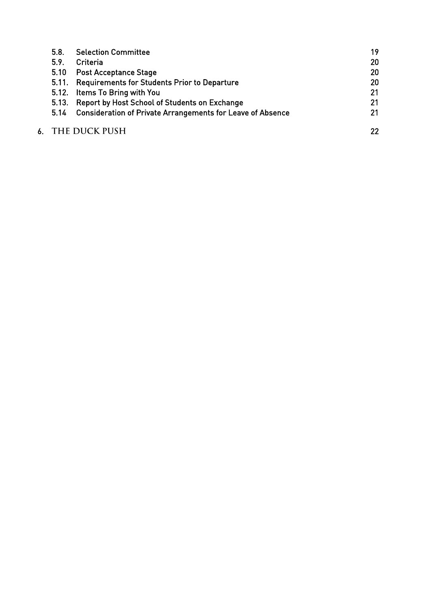| 5.8.  | <b>Selection Committee</b>                                        | 19 |
|-------|-------------------------------------------------------------------|----|
| 5.9.  | Criteria                                                          | 20 |
| 5.10  | <b>Post Acceptance Stage</b>                                      | 20 |
|       | 5.11. Requirements for Students Prior to Departure                | 20 |
|       | 5.12. Items To Bring with You                                     | 21 |
| 5.13. | Report by Host School of Students on Exchange                     | 21 |
| 5.14  | <b>Consideration of Private Arrangements for Leave of Absence</b> | 21 |
|       | 6. THE DUCK PUSH                                                  | 22 |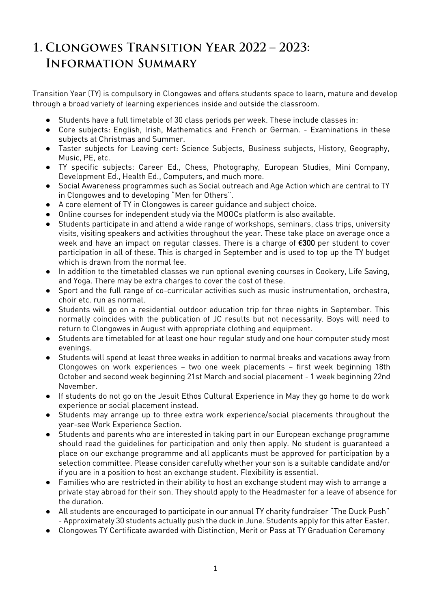## 1. CLONGOWES TRANSITION YEAR 2022 - 2023: **INFORMATION SUMMARY**

Transition Year (TY) is compulsory in Clongowes and offers students space to learn, mature and develop through a broad variety of learning experiences inside and outside the classroom.

- Students have a full timetable of 30 class periods per week. These include classes in:
- Core subjects: English, Irish, Mathematics and French or German. Examinations in these subjects at Christmas and Summer.
- Taster subjects for Leaving cert: Science Subjects, Business subjects, History, Geography, Music, PE, etc.
- TY specific subjects: Career Ed., Chess, Photography, European Studies, Mini Company, Development Ed., Health Ed., Computers, and much more.
- Social Awareness programmes such as Social outreach and Age Action which are central to TY in Clongowes and to developing "Men for Others".
- A core element of TY in Clongowes is career guidance and subject choice.
- Online courses for independent study via the MOOCs platform is also available.
- Students participate in and attend a wide range of workshops, seminars, class trips, university visits, visiting speakers and activities throughout the year. These take place on average once a week and have an impact on regular classes. There is a charge of **€**300 per student to cover participation in all of these. This is charged in September and is used to top up the TY budget which is drawn from the normal fee.
- In addition to the timetabled classes we run optional evening courses in Cookery, Life Saving, and Yoga. There may be extra charges to cover the cost of these.
- Sport and the full range of co-curricular activities such as music instrumentation, orchestra, choir etc. run as normal.
- Students will go on a residential outdoor education trip for three nights in September. This normally coincides with the publication of JC results but not necessarily. Boys will need to return to Clongowes in August with appropriate clothing and equipment.
- Students are timetabled for at least one hour regular study and one hour computer study most evenings.
- Students will spend at least three weeks in addition to normal breaks and vacations away from Clongowes on work experiences – two one week placements – first week beginning 18th October and second week beginning 21st March and social placement - 1 week beginning 22nd November.
- If students do not go on the Jesuit Ethos Cultural Experience in May they go home to do work experience or social placement instead.
- Students may arrange up to three extra work experience/social placements throughout the year-see Work Experience Section.
- Students and parents who are interested in taking part in our European exchange programme should read the guidelines for participation and only then apply. No student is guaranteed a place on our exchange programme and all applicants must be approved for participation by a selection committee. Please consider carefully whether your son is a suitable candidate and/or if you are in a position to host an exchange student. Flexibility is essential.
- Families who are restricted in their ability to host an exchange student may wish to arrange a private stay abroad for their son. They should apply to the Headmaster for a leave of absence for the duration.
- All students are encouraged to participate in our annual TY charity fundraiser "The Duck Push" - Approximately 30 students actually push the duck in June. Students apply for this after Easter.
- Clongowes TY Certificate awarded with Distinction, Merit or Pass at TY Graduation Ceremony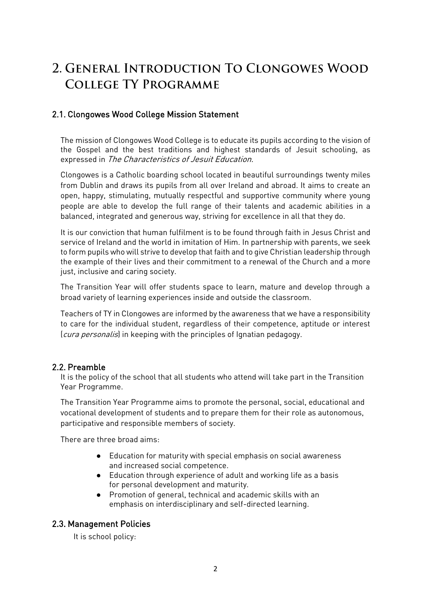## 2. GENERAL INTRODUCTION TO CLONGOWES WOOD **COLLEGE TY PROGRAMME**

## 2.1. Clongowes Wood College Mission Statement

The mission of Clongowes Wood College is to educate its pupils according to the vision of the Gospel and the best traditions and highest standards of Jesuit schooling, as expressed in The Characteristics of Jesuit Education.

Clongowes is a Catholic boarding school located in beautiful surroundings twenty miles from Dublin and draws its pupils from all over Ireland and abroad. It aims to create an open, happy, stimulating, mutually respectful and supportive community where young people are able to develop the full range of their talents and academic abilities in a balanced, integrated and generous way, striving for excellence in all that they do.

It is our conviction that human fulfilment is to be found through faith in Jesus Christ and service of Ireland and the world in imitation of Him. In partnership with parents, we seek to form pupils who will strive to develop that faith and to give Christian leadership through the example of their lives and their commitment to a renewal of the Church and a more just, inclusive and caring society.

The Transition Year will offer students space to learn, mature and develop through a broad variety of learning experiences inside and outside the classroom.

Teachers of TY in Clongowes are informed by the awareness that we have a responsibility to care for the individual student, regardless of their competence, aptitude or interest (cura personalis) in keeping with the principles of Ignatian pedagogy.

#### 2.2. Preamble

It is the policy of the school that all students who attend will take part in the Transition Year Programme.

The Transition Year Programme aims to promote the personal, social, educational and vocational development of students and to prepare them for their role as autonomous, participative and responsible members of society.

There are three broad aims:

- Education for maturity with special emphasis on social awareness and increased social competence.
- Education through experience of adult and working life as a basis for personal development and maturity.
- Promotion of general, technical and academic skills with an emphasis on interdisciplinary and self-directed learning.

## 2.3. Management Policies

It is school policy: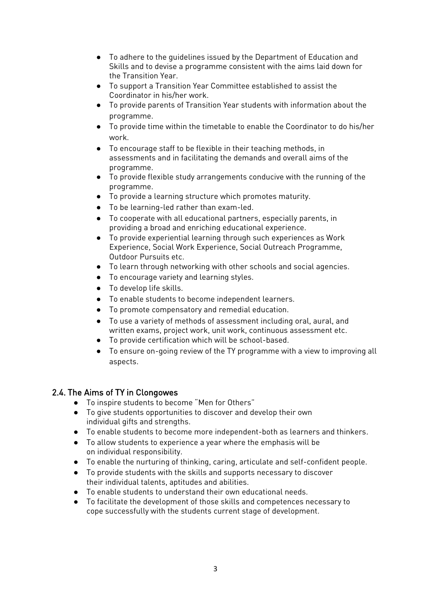- To adhere to the guidelines issued by the Department of Education and Skills and to devise a programme consistent with the aims laid down for the Transition Year.
- To support a Transition Year Committee established to assist the Coordinator in his/her work.
- To provide parents of Transition Year students with information about the programme.
- To provide time within the timetable to enable the Coordinator to do his/her work.
- To encourage staff to be flexible in their teaching methods, in assessments and in facilitating the demands and overall aims of the programme.
- To provide flexible study arrangements conducive with the running of the programme.
- To provide a learning structure which promotes maturity.
- To be learning-led rather than exam-led.
- To cooperate with all educational partners, especially parents, in providing a broad and enriching educational experience.
- To provide experiential learning through such experiences as Work Experience, Social Work Experience, Social Outreach Programme, Outdoor Pursuits etc.
- To learn through networking with other schools and social agencies.
- To encourage variety and learning styles.
- To develop life skills.
- To enable students to become independent learners.
- To promote compensatory and remedial education.
- To use a variety of methods of assessment including oral, aural, and written exams, project work, unit work, continuous assessment etc.
- To provide certification which will be school-based.
- To ensure on-going review of the TY programme with a view to improving all aspects.

## 2.4. The Aims of TY in Clongowes

- To inspire students to become "Men for Others"
- To give students opportunities to discover and develop their own individual gifts and strengths.
- To enable students to become more independent-both as learners and thinkers.
- To allow students to experience a year where the emphasis will be on individual responsibility.
- To enable the nurturing of thinking, caring, articulate and self-confident people.
- To provide students with the skills and supports necessary to discover their individual talents, aptitudes and abilities.
- To enable students to understand their own educational needs.
- To facilitate the development of those skills and competences necessary to cope successfully with the students current stage of development.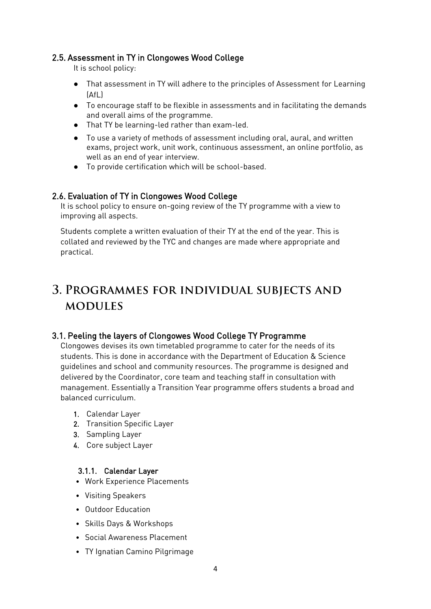#### 2.5. Assessment in TY in Clongowes Wood College

It is school policy:

- That assessment in TY will adhere to the principles of Assessment for Learning  $[Afl]$
- To encourage staff to be flexible in assessments and in facilitating the demands and overall aims of the programme.
- That TY be learning-led rather than exam-led.
- To use a variety of methods of assessment including oral, aural, and written exams, project work, unit work, continuous assessment, an online portfolio, as well as an end of year interview.
- To provide certification which will be school-based.

#### 2.6. Evaluation of TY in Clongowes Wood College

It is school policy to ensure on-going review of the TY programme with a view to improving all aspects.

Students complete a written evaluation of their TY at the end of the year. This is collated and reviewed by the TYC and changes are made where appropriate and practical.

## 3. PROGRAMMES FOR INDIVIDUAL SUBJECTS AND **MODULES**

## 3.1. Peeling the layers of Clongowes Wood College TY Programme

Clongowes devises its own timetabled programme to cater for the needs of its students. This is done in accordance with the Department of Education & Science guidelines and school and community resources. The programme is designed and delivered by the Coordinator, core team and teaching staff in consultation with management. Essentially a Transition Year programme offers students a broad and balanced curriculum.

- 1. Calendar Layer
- 2. Transition Specific Layer
- 3. Sampling Layer
- 4. Core subject Layer

#### 3.1.1. Calendar Layer

- Work Experience Placements
- Visiting Speakers
- Outdoor Education
- Skills Days & Workshops
- Social Awareness Placement
- TY Ignatian Camino Pilgrimage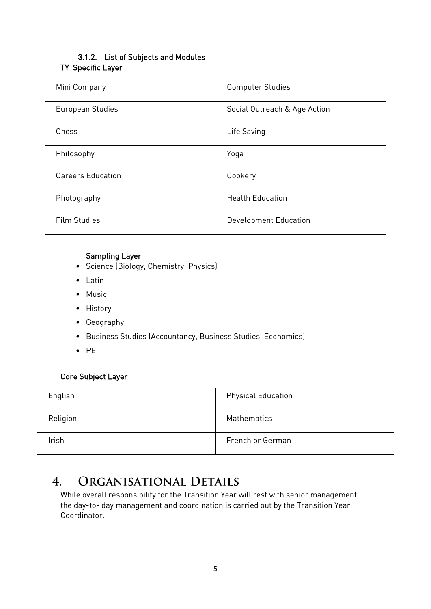## 3.1.2. List of Subjects and Modules TY Specific Layer

| Mini Company             | <b>Computer Studies</b>      |
|--------------------------|------------------------------|
| European Studies         | Social Outreach & Age Action |
| Chess                    | Life Saving                  |
| Philosophy               | Yoga                         |
| <b>Careers Education</b> | Cookery                      |
| Photography              | <b>Health Education</b>      |
| <b>Film Studies</b>      | Development Education        |

#### Sampling Layer

- Science (Biology, Chemistry, Physics)
- Latin
- Music
- History
- Geography
- Business Studies (Accountancy, Business Studies, Economics)
- PE

## Core Subject Layer

| English  | <b>Physical Education</b> |
|----------|---------------------------|
| Religion | Mathematics               |
| Irish    | French or German          |

#### $\overline{4}$ . ORGANISATIONAL DETAILS

While overall responsibility for the Transition Year will rest with senior management, the day-to- day management and coordination is carried out by the Transition Year Coordinator.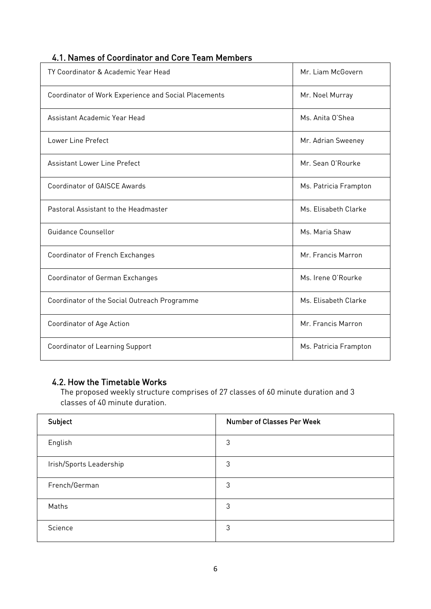## 4.1. Names of Coordinator and Core Team Members

| TY Coordinator & Academic Year Head                  | Mr. Liam McGovern     |
|------------------------------------------------------|-----------------------|
| Coordinator of Work Experience and Social Placements | Mr. Noel Murray       |
| Assistant Academic Year Head                         | Ms. Anita O'Shea      |
| Lower Line Prefect                                   | Mr. Adrian Sweeney    |
| <b>Assistant Lower Line Prefect</b>                  | Mr. Sean O'Rourke     |
| <b>Coordinator of GAISCE Awards</b>                  | Ms. Patricia Frampton |
| Pastoral Assistant to the Headmaster                 | Ms. Elisabeth Clarke  |
| Guidance Counsellor                                  | Ms. Maria Shaw        |
| Coordinator of French Exchanges                      | Mr. Francis Marron    |
| Coordinator of German Exchanges                      | Ms. Irene O'Rourke    |
| Coordinator of the Social Outreach Programme         | Ms. Elisabeth Clarke  |
| Coordinator of Age Action                            | Mr. Francis Marron    |
| Coordinator of Learning Support                      | Ms. Patricia Frampton |

## 4.2. How the Timetable Works

The proposed weekly structure comprises of 27 classes of 60 minute duration and 3 classes of 40 minute duration.

| Subject                 | <b>Number of Classes Per Week</b> |
|-------------------------|-----------------------------------|
| English                 | 3                                 |
| Irish/Sports Leadership | 3                                 |
| French/German           | 3                                 |
| Maths                   | 3                                 |
| Science                 | 3                                 |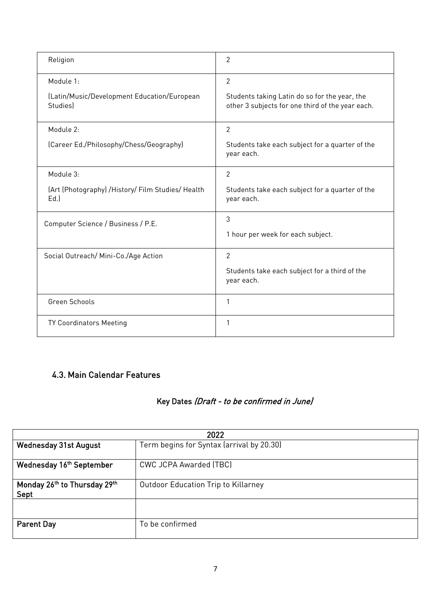| Religion                                                      | 2                                                                                                 |
|---------------------------------------------------------------|---------------------------------------------------------------------------------------------------|
| Module 1:                                                     | $\overline{2}$                                                                                    |
| (Latin/Music/Development Education/European<br><b>Studies</b> | Students taking Latin do so for the year, the<br>other 3 subjects for one third of the year each. |
| Module 2:                                                     | $\overline{2}$                                                                                    |
| (Career Ed./Philosophy/Chess/Geography)                       | Students take each subject for a quarter of the<br>year each.                                     |
| Module 3:                                                     | $\overline{2}$                                                                                    |
| (Art (Photography) / History/ Film Studies/ Health<br>Ed.     | Students take each subject for a quarter of the<br>year each.                                     |
| Computer Science / Business / P.E.                            | 3                                                                                                 |
|                                                               | 1 hour per week for each subject.                                                                 |
| Social Outreach/ Mini-Co./Age Action                          | $\overline{2}$                                                                                    |
|                                                               | Students take each subject for a third of the<br>year each.                                       |
| Green Schools                                                 | 1                                                                                                 |
| TY Coordinators Meeting                                       | 1                                                                                                 |

## 4.3. Main Calendar Features

## Key Dates (Draft - to be confirmed in June)

| 2022                                                                      |                                            |  |
|---------------------------------------------------------------------------|--------------------------------------------|--|
| Term begins for Syntax (arrival by 20.30)<br><b>Wednesday 31st August</b> |                                            |  |
| Wednesday 16th September                                                  | CWC JCPA Awarded (TBC)                     |  |
| Monday 26th to Thursday 29th<br>Sept                                      | <b>Outdoor Education Trip to Killarney</b> |  |
|                                                                           |                                            |  |
| <b>Parent Day</b>                                                         | To be confirmed                            |  |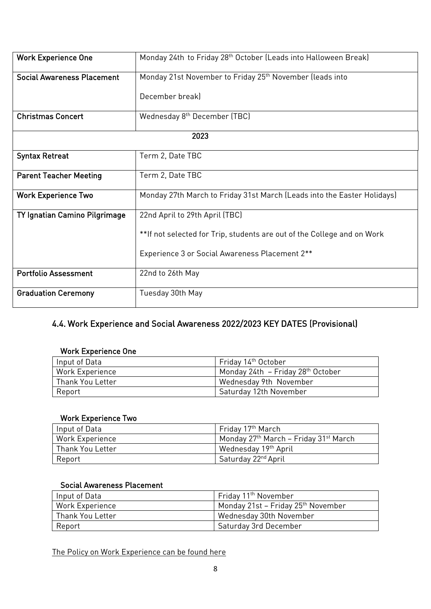| <b>Work Experience One</b>        | Monday 24th to Friday 28th October (Leads into Halloween Break)         |  |
|-----------------------------------|-------------------------------------------------------------------------|--|
| <b>Social Awareness Placement</b> | Monday 21st November to Friday 25 <sup>th</sup> November (leads into    |  |
|                                   | December break)                                                         |  |
| <b>Christmas Concert</b>          | Wednesday 8 <sup>th</sup> December (TBC)                                |  |
| 2023                              |                                                                         |  |
| <b>Syntax Retreat</b>             | Term 2, Date TBC                                                        |  |
| <b>Parent Teacher Meeting</b>     | Term 2, Date TBC                                                        |  |
| <b>Work Experience Two</b>        | Monday 27th March to Friday 31st March (Leads into the Easter Holidays) |  |
| TY Ignatian Camino Pilgrimage     | 22nd April to 29th April (TBC)                                          |  |
|                                   | **If not selected for Trip, students are out of the College and on Work |  |
|                                   | Experience 3 or Social Awareness Placement 2**                          |  |
| <b>Portfolio Assessment</b>       | 22nd to 26th May                                                        |  |
| <b>Graduation Ceremony</b>        | Tuesday 30th May                                                        |  |

## 4.4. Work Experience and Social Awareness 2022/2023 KEY DATES (Provisional)

#### Work Experience One

| Input of Data          | Friday 14th October                           |
|------------------------|-----------------------------------------------|
| <b>Work Experience</b> | Monday 24th – Friday 28 <sup>th</sup> October |
| Thank You Letter       | Wednesday 9th November                        |
| Report                 | Saturday 12th November                        |

## Work Experience Two

| Input of Data          | Fridav 17 <sup>th</sup> March         |
|------------------------|---------------------------------------|
| <b>Work Experience</b> | Monday 27th March – Friday 31st March |
| Thank You Letter       | Wednesday 19th April                  |
| Report                 | Saturday 22 <sup>nd</sup> April       |

#### Social Awareness Placement

| Input of Data          | Friday 11 <sup>th</sup> November               |
|------------------------|------------------------------------------------|
| <b>Work Experience</b> | Monday 21st – Friday 25 <sup>th</sup> November |
| Thank You Letter       | Wednesday 30th November                        |
| Report                 | Saturday 3rd December                          |

[The Policy on Work Experience can be found here](https://drive.google.com/file/d/1Gy0BuAUO7gFXlix9hlcRVjAl2AIAfwCH/view?usp=sharing)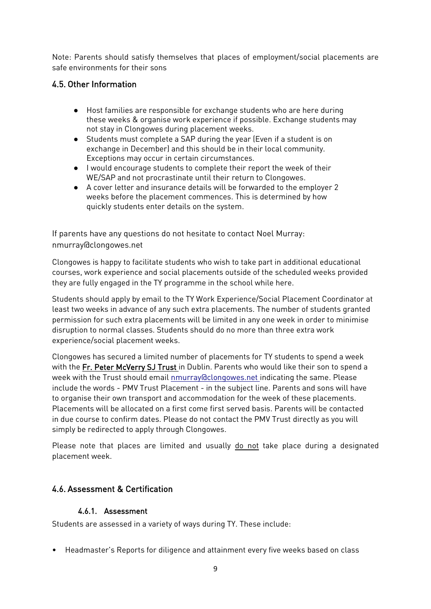Note: Parents should satisfy themselves that places of employment/social placements are safe environments for their sons

## 4.5. Other Information

- Host families are responsible for exchange students who are here during these weeks & organise work experience if possible. Exchange students may not stay in Clongowes during placement weeks.
- Students must complete a SAP during the year (Even if a student is on exchange in December) and this should be in their local community. Exceptions may occur in certain circumstances.
- I would encourage students to complete their report the week of their WE/SAP and not procrastinate until their return to Clongowes.
- A cover letter and insurance details will be forwarded to the employer 2 weeks before the placement commences. This is determined by how quickly students enter details on the system.

If parents have any questions do not hesitate to contact Noel Murray: [nmurray@clongowes.net](mailto:nmurray@clongowes.net)

Clongowes is happy to facilitate students who wish to take part in additional educational courses, work experience and social placements outside of the scheduled weeks provided they are fully engaged in the TY programme in the school while here.

Students should apply by email to the TY Work Experience/Social Placement Coordinator at least two weeks in advance of any such extra placements. The number of students granted permission for such extra placements will be limited in any one week in order to minimise disruption to normal classes. Students should do no more than three extra work experience/social placement weeks.

Clongowes has secured a limited number of placements for TY students to spend a week with the Fr. Peter McVerry SJ Trust in Dublin. Parents who would like their son to spend a week with the Trust should email [nmurray@clongowes.net i](mailto:pmccormack@clongowes.net)ndicating the same. Please include the words - PMV Trust Placement - in the subject line. Parents and sons will have to organise their own transport and accommodation for the week of these placements. Placements will be allocated on a first come first served basis. Parents will be contacted in due course to confirm dates. Please do not contact the PMV Trust directly as you will simply be redirected to apply through Clongowes.

Please note that places are limited and usually do not take place during a designated placement week.

## 4.6. Assessment & Certification

#### 4.6.1. Assessment

Students are assessed in a variety of ways during TY. These include:

• Headmaster's Reports for diligence and attainment every five weeks based on class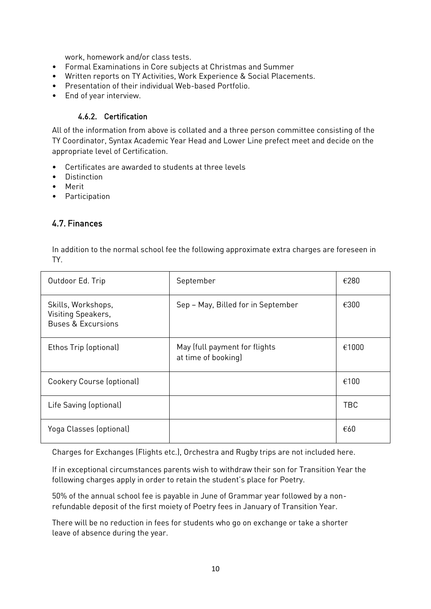work, homework and/or class tests.

- Formal Examinations in Core subjects at Christmas and Summer
- Written reports on TY Activities, Work Experience & Social Placements.
- Presentation of their individual Web-based Portfolio.
- End of year interview.

#### 4.6.2. Certification

All of the information from above is collated and a three person committee consisting of the TY Coordinator, Syntax Academic Year Head and Lower Line prefect meet and decide on the appropriate level of Certification.

- Certificates are awarded to students at three levels
- Distinction
- Merit
- Participation

## 4.7. Finances

In addition to the normal school fee the following approximate extra charges are foreseen in TY.

| Outdoor Ed. Trip                                                          | September                                            | €280       |
|---------------------------------------------------------------------------|------------------------------------------------------|------------|
| Skills, Workshops,<br>Visiting Speakers,<br><b>Buses &amp; Excursions</b> | Sep - May, Billed for in September                   | €300       |
| Ethos Trip (optional)                                                     | May (full payment for flights<br>at time of booking) | €1000      |
| Cookery Course (optional)                                                 |                                                      | €100       |
| Life Saving (optional)                                                    |                                                      | <b>TBC</b> |
| Yoga Classes (optional)                                                   |                                                      | €60        |

Charges for Exchanges (Flights etc.), Orchestra and Rugby trips are not included here.

If in exceptional circumstances parents wish to withdraw their son for Transition Year the following charges apply in order to retain the student's place for Poetry.

50% of the annual school fee is payable in June of Grammar year followed by a nonrefundable deposit of the first moiety of Poetry fees in January of Transition Year.

There will be no reduction in fees for students who go on exchange or take a shorter leave of absence during the year.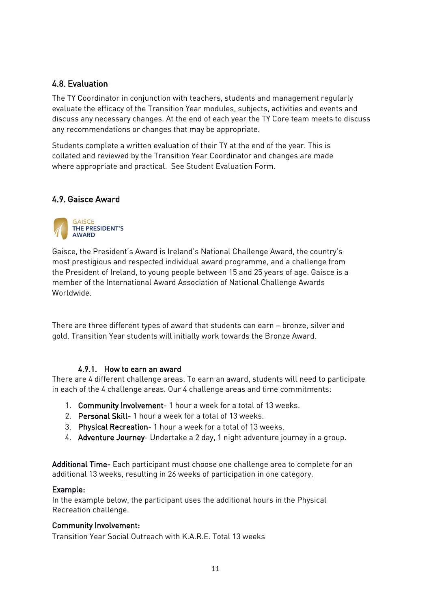## 4.8. Evaluation

The TY Coordinator in conjunction with teachers, students and management regularly evaluate the efficacy of the Transition Year modules, subjects, activities and events and discuss any necessary changes. At the end of each year the TY Core team meets to discuss any recommendations or changes that may be appropriate.

Students complete a written evaluation of their TY at the end of the year. This is collated and reviewed by the Transition Year Coordinator and changes are made where appropriate and practical. See Student Evaluation Form.

#### 4.9. Gaisce Award



Gaisce, the President's Award is Ireland's National Challenge Award, the country's most prestigious and respected individual award programme, and a challenge from the President of Ireland, to young people between 15 and 25 years of age. Gaisce is a member of the International Award Association of National Challenge Awards Worldwide.

There are three different types of award that students can earn – bronze, silver and gold. Transition Year students will initially work towards the Bronze Award.

#### 4.9.1. How to earn an award

There are 4 different challenge areas. To earn an award, students will need to participate in each of the 4 challenge areas. Our 4 challenge areas and time commitments:

- 1. Community Involvement- 1 hour a week for a total of 13 weeks.
- 2. Personal Skill- 1 hour a week for a total of 13 weeks.
- 3. Physical Recreation- 1 hour a week for a total of 13 weeks.
- 4. Adventure Journey- Undertake a 2 day, 1 night adventure journey in a group.

Additional Time- Each participant must choose one challenge area to complete for an additional 13 weeks, resulting in 26 weeks of participation in one category.

#### Example:

In the example below, the participant uses the additional hours in the Physical Recreation challenge.

#### Community Involvement:

Transition Year Social Outreach with K.A.R.E. Total 13 weeks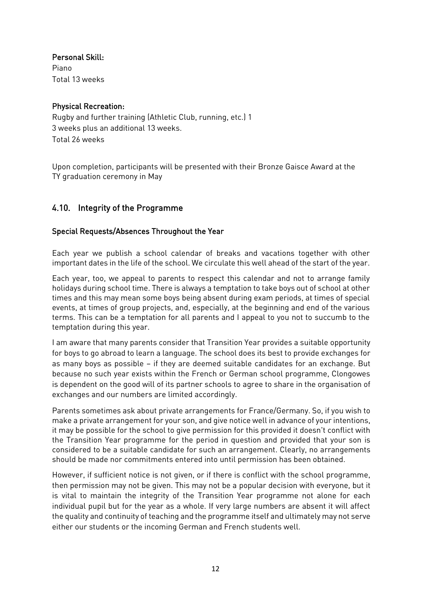Personal Skill:

Piano Total 13 weeks

#### Physical Recreation:

Rugby and further training (Athletic Club, running, etc.) 1 3 weeks plus an additional 13 weeks. Total 26 weeks

Upon completion, participants will be presented with their Bronze Gaisce Award at the TY graduation ceremony in May

## 4.10. Integrity of the Programme

#### Special Requests/Absences Throughout the Year

Each year we publish a school calendar of breaks and vacations together with other important dates in the life of the school. We circulate this well ahead of the start of the year.

Each year, too, we appeal to parents to respect this calendar and not to arrange family holidays during school time. There is always a temptation to take boys out of school at other times and this may mean some boys being absent during exam periods, at times of special events, at times of group projects, and, especially, at the beginning and end of the various terms. This can be a temptation for all parents and I appeal to you not to succumb to the temptation during this year.

I am aware that many parents consider that Transition Year provides a suitable opportunity for boys to go abroad to learn a language. The school does its best to provide exchanges for as many boys as possible – if they are deemed suitable candidates for an exchange. But because no such year exists within the French or German school programme, Clongowes is dependent on the good will of its partner schools to agree to share in the organisation of exchanges and our numbers are limited accordingly.

Parents sometimes ask about private arrangements for France/Germany. So, if you wish to make a private arrangement for your son, and give notice well in advance of your intentions, it may be possible for the school to give permission for this provided it doesn't conflict with the Transition Year programme for the period in question and provided that your son is considered to be a suitable candidate for such an arrangement. Clearly, no arrangements should be made nor commitments entered into until permission has been obtained.

However, if sufficient notice is not given, or if there is conflict with the school programme, then permission may not be given. This may not be a popular decision with everyone, but it is vital to maintain the integrity of the Transition Year programme not alone for each individual pupil but for the year as a whole. If very large numbers are absent it will affect the quality and continuity of teaching and the programme itself and ultimately may not serve either our students or the incoming German and French students well.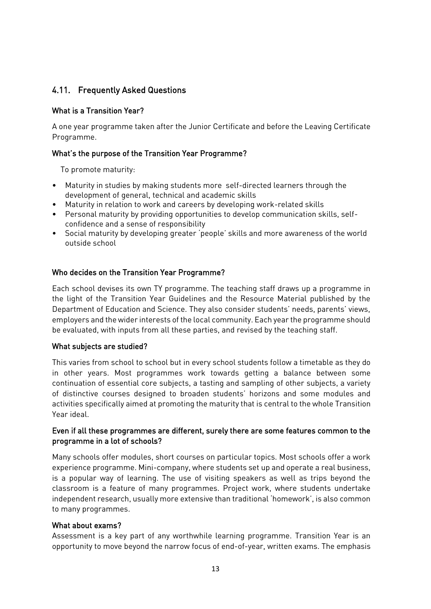## 4.11. Frequently Asked Questions

#### What is a Transition Year?

A one year programme taken after the Junior Certificate and before the Leaving Certificate Programme.

#### What's the purpose of the Transition Year Programme?

To promote maturity:

- Maturity in studies by making students more self-directed learners through the development of general, technical and academic skills
- Maturity in relation to work and careers by developing work-related skills
- Personal maturity by providing opportunities to develop communication skills, selfconfidence and a sense of responsibility
- Social maturity by developing greater 'people' skills and more awareness of the world outside school

#### Who decides on the Transition Year Programme?

Each school devises its own TY programme. The teaching staff draws up a programme in the light of the Transition Year Guidelines and the Resource Material published by the Department of Education and Science. They also consider students' needs, parents' views, employers and the wider interests of the local community. Each year the programme should be evaluated, with inputs from all these parties, and revised by the teaching staff.

#### What subjects are studied?

This varies from school to school but in every school students follow a timetable as they do in other years. Most programmes work towards getting a balance between some continuation of essential core subjects, a tasting and sampling of other subjects, a variety of distinctive courses designed to broaden students' horizons and some modules and activities specifically aimed at promoting the maturity that is central to the whole Transition Year ideal.

#### Even if all these programmes are different, surely there are some features common to the programme in a lot of schools?

Many schools offer modules, short courses on particular topics. Most schools offer a work experience programme. Mini-company, where students set up and operate a real business, is a popular way of learning. The use of visiting speakers as well as trips beyond the classroom is a feature of many programmes. Project work, where students undertake independent research, usually more extensive than traditional 'homework', is also common to many programmes.

#### What about exams?

Assessment is a key part of any worthwhile learning programme. Transition Year is an opportunity to move beyond the narrow focus of end-of-year, written exams. The emphasis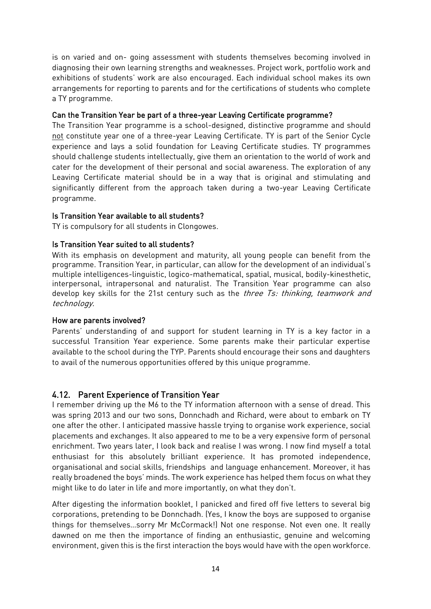is on varied and on- going assessment with students themselves becoming involved in diagnosing their own learning strengths and weaknesses. Project work, portfolio work and exhibitions of students' work are also encouraged. Each individual school makes its own arrangements for reporting to parents and for the certifications of students who complete a TY programme.

#### Can the Transition Year be part of a three-year Leaving Certificate programme?

The Transition Year programme is a school-designed, distinctive programme and should not constitute year one of a three-year Leaving Certificate. TY is part of the Senior Cycle experience and lays a solid foundation for Leaving Certificate studies. TY programmes should challenge students intellectually, give them an orientation to the world of work and cater for the development of their personal and social awareness. The exploration of any Leaving Certificate material should be in a way that is original and stimulating and significantly different from the approach taken during a two-year Leaving Certificate programme.

#### Is Transition Year available to all students?

TY is compulsory for all students in Clongowes.

#### Is Transition Year suited to all students?

With its emphasis on development and maturity, all young people can benefit from the programme. Transition Year, in particular, can allow for the development of an individual's multiple intelligences-linguistic, logico-mathematical, spatial, musical, bodily-kinesthetic, interpersonal, intrapersonal and naturalist. The Transition Year programme can also develop key skills for the 21st century such as the *three Ts: thinking, teamwork and* technology.

#### How are parents involved?

Parents' understanding of and support for student learning in TY is a key factor in a successful Transition Year experience. Some parents make their particular expertise available to the school during the TYP. Parents should encourage their sons and daughters to avail of the numerous opportunities offered by this unique programme.

#### 4.12. Parent Experience of Transition Year

I remember driving up the M6 to the TY information afternoon with a sense of dread. This was spring 2013 and our two sons, Donnchadh and Richard, were about to embark on TY one after the other. I anticipated massive hassle trying to organise work experience, social placements and exchanges. It also appeared to me to be a very expensive form of personal enrichment. Two years later, I look back and realise I was wrong. I now find myself a total enthusiast for this absolutely brilliant experience. It has promoted independence, organisational and social skills, friendships and language enhancement. Moreover, it has really broadened the boys' minds. The work experience has helped them focus on what they might like to do later in life and more importantly, on what they don't.

After digesting the information booklet, I panicked and fired off five letters to several big corporations, pretending to be Donnchadh. (Yes, I know the boys are supposed to organise things for themselves…sorry Mr McCormack!) Not one response. Not even one. It really dawned on me then the importance of finding an enthusiastic, genuine and welcoming environment, given this is the first interaction the boys would have with the open workforce.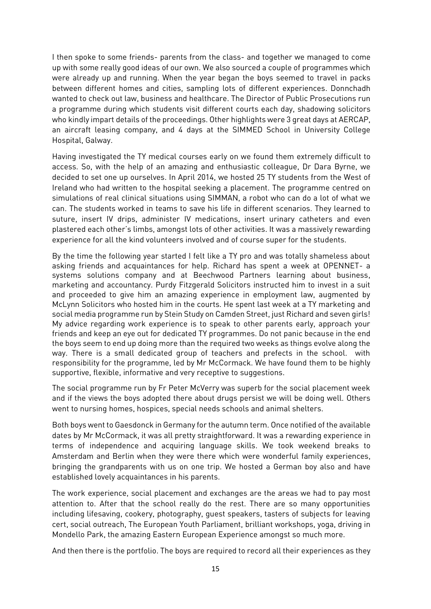I then spoke to some friends- parents from the class- and together we managed to come up with some really good ideas of our own. We also sourced a couple of programmes which were already up and running. When the year began the boys seemed to travel in packs between different homes and cities, sampling lots of different experiences. Donnchadh wanted to check out law, business and healthcare. The Director of Public Prosecutions run a programme during which students visit different courts each day, shadowing solicitors who kindly impart details of the proceedings. Other highlights were 3 great days at AERCAP, an aircraft leasing company, and 4 days at the SIMMED School in University College Hospital, Galway.

Having investigated the TY medical courses early on we found them extremely difficult to access. So, with the help of an amazing and enthusiastic colleague, Dr Dara Byrne, we decided to set one up ourselves. In April 2014, we hosted 25 TY students from the West of Ireland who had written to the hospital seeking a placement. The programme centred on simulations of real clinical situations using SIMMAN, a robot who can do a lot of what we can. The students worked in teams to save his life in different scenarios. They learned to suture, insert IV drips, administer IV medications, insert urinary catheters and even plastered each other's limbs, amongst lots of other activities. It was a massively rewarding experience for all the kind volunteers involved and of course super for the students.

By the time the following year started I felt like a TY pro and was totally shameless about asking friends and acquaintances for help. Richard has spent a week at OPENNET- a systems solutions company and at Beechwood Partners learning about business, marketing and accountancy. Purdy Fitzgerald Solicitors instructed him to invest in a suit and proceeded to give him an amazing experience in employment law, augmented by McLynn Solicitors who hosted him in the courts. He spent last week at a TY marketing and social media programme run by Stein Study on Camden Street, just Richard and seven girls! My advice regarding work experience is to speak to other parents early, approach your friends and keep an eye out for dedicated TY programmes. Do not panic because in the end the boys seem to end up doing more than the required two weeks as things evolve along the way. There is a small dedicated group of teachers and prefects in the school. with responsibility for the programme, led by Mr McCormack. We have found them to be highly supportive, flexible, informative and very receptive to suggestions.

The social programme run by Fr Peter McVerry was superb for the social placement week and if the views the boys adopted there about drugs persist we will be doing well. Others went to nursing homes, hospices, special needs schools and animal shelters.

Both boys went to Gaesdonck in Germany for the autumn term. Once notified of the available dates by Mr McCormack, it was all pretty straightforward. It was a rewarding experience in terms of independence and acquiring language skills. We took weekend breaks to Amsterdam and Berlin when they were there which were wonderful family experiences, bringing the grandparents with us on one trip. We hosted a German boy also and have established lovely acquaintances in his parents.

The work experience, social placement and exchanges are the areas we had to pay most attention to. After that the school really do the rest. There are so many opportunities including lifesaving, cookery, photography, guest speakers, tasters of subjects for leaving cert, social outreach, The European Youth Parliament, brilliant workshops, yoga, driving in Mondello Park, the amazing Eastern European Experience amongst so much more.

And then there is the portfolio. The boys are required to record all their experiences as they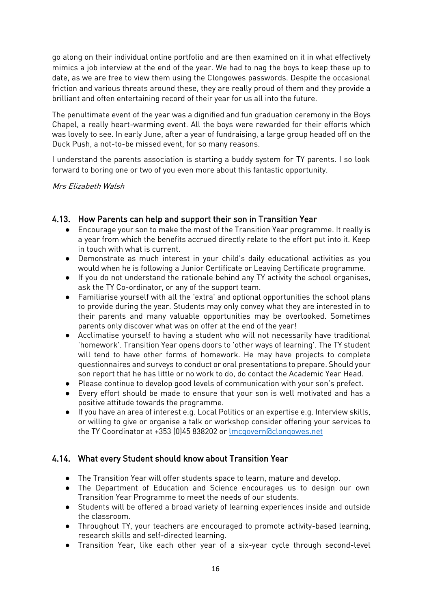go along on their individual online portfolio and are then examined on it in what effectively mimics a job interview at the end of the year. We had to nag the boys to keep these up to date, as we are free to view them using the Clongowes passwords. Despite the occasional friction and various threats around these, they are really proud of them and they provide a brilliant and often entertaining record of their year for us all into the future.

The penultimate event of the year was a dignified and fun graduation ceremony in the Boys Chapel, a really heart-warming event. All the boys were rewarded for their efforts which was lovely to see. In early June, after a year of fundraising, a large group headed off on the Duck Push, a not-to-be missed event, for so many reasons.

I understand the parents association is starting a buddy system for TY parents. I so look forward to boring one or two of you even more about this fantastic opportunity.

Mrs Elizabeth Walsh

## 4.13. How Parents can help and support their son in Transition Year

- Encourage your son to make the most of the Transition Year programme. It really is a year from which the benefits accrued directly relate to the effort put into it. Keep in touch with what is current.
- Demonstrate as much interest in your child's daily educational activities as you would when he is following a Junior Certificate or Leaving Certificate programme.
- If you do not understand the rationale behind any TY activity the school organises, ask the TY Co-ordinator, or any of the support team.
- Familiarise yourself with all the 'extra' and optional opportunities the school plans to provide during the year. Students may only convey what they are interested in to their parents and many valuable opportunities may be overlooked. Sometimes parents only discover what was on offer at the end of the year!
- Acclimatise yourself to having a student who will not necessarily have traditional 'homework'. Transition Year opens doors to 'other ways of learning'. The TY student will tend to have other forms of homework. He may have projects to complete questionnaires and surveys to conduct or oral presentations to prepare. Should your son report that he has little or no work to do, do contact the Academic Year Head.
- Please continue to develop good levels of communication with your son's prefect.
- Every effort should be made to ensure that your son is well motivated and has a positive attitude towards the programme.
- If you have an area of interest e.g. Local Politics or an expertise e.g. Interview skills, or willing to give or organise a talk or workshop consider offering your services to the TY Coordinator at +353 (0)45 838202 or [lmcgovern@clongowes.net](mailto:lmcgovern@clongowes.net)

## 4.14. What every Student should know about Transition Year

- The Transition Year will offer students space to learn, mature and develop.
- The Department of Education and Science encourages us to design our own Transition Year Programme to meet the needs of our students.
- Students will be offered a broad variety of learning experiences inside and outside the classroom.
- Throughout TY, your teachers are encouraged to promote activity-based learning, research skills and self-directed learning.
- Transition Year, like each other year of a six-year cycle through second-level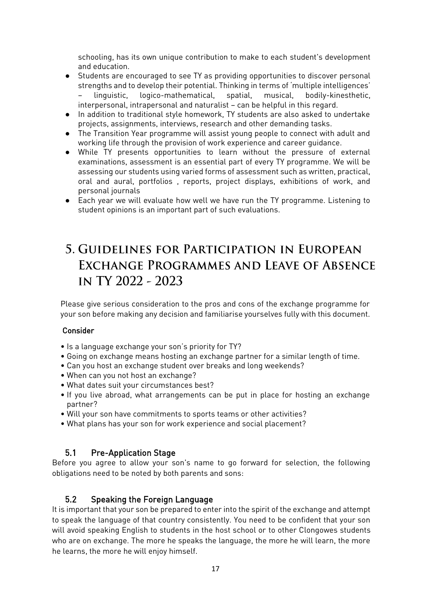schooling, has its own unique contribution to make to each student's development and education.

- Students are encouraged to see TY as providing opportunities to discover personal strengths and to develop their potential. Thinking in terms of 'multiple intelligences' – linguistic, logico-mathematical, spatial, musical, bodily-kinesthetic, interpersonal, intrapersonal and naturalist – can be helpful in this regard.
- In addition to traditional style homework, TY students are also asked to undertake projects, assignments, interviews, research and other demanding tasks.
- The Transition Year programme will assist young people to connect with adult and working life through the provision of work experience and career guidance.
- While TY presents opportunities to learn without the pressure of external examinations, assessment is an essential part of every TY programme. We will be assessing our students using varied forms of assessment such as written, practical, oral and aural, portfolios , reports, project displays, exhibitions of work, and personal journals
- Each year we will evaluate how well we have run the TY programme. Listening to student opinions is an important part of such evaluations.

## 5. GUIDELINES FOR PARTICIPATION IN EUROPEAN EXCHANGE PROGRAMMES AND LEAVE OF ABSENCE IN TY 2022 - 2023

Please give serious consideration to the pros and cons of the exchange programme for your son before making any decision and familiarise yourselves fully with this document.

#### Consider

- Is a language exchange your son's priority for TY?
- Going on exchange means hosting an exchange partner for a similar length of time.
- Can you host an exchange student over breaks and long weekends?
- When can you not host an exchange?
- What dates suit your circumstances best?
- If you live abroad, what arrangements can be put in place for hosting an exchange partner?
- Will your son have commitments to sports teams or other activities?
- What plans has your son for work experience and social placement?

## 5.1 Pre-Application Stage

Before you agree to allow your son's name to go forward for selection, the following obligations need to be noted by both parents and sons:

## 5.2 Speaking the Foreign Language

It is important that your son be prepared to enter into the spirit of the exchange and attempt to speak the language of that country consistently. You need to be confident that your son will avoid speaking English to students in the host school or to other Clongowes students who are on exchange. The more he speaks the language, the more he will learn, the more he learns, the more he will enjoy himself.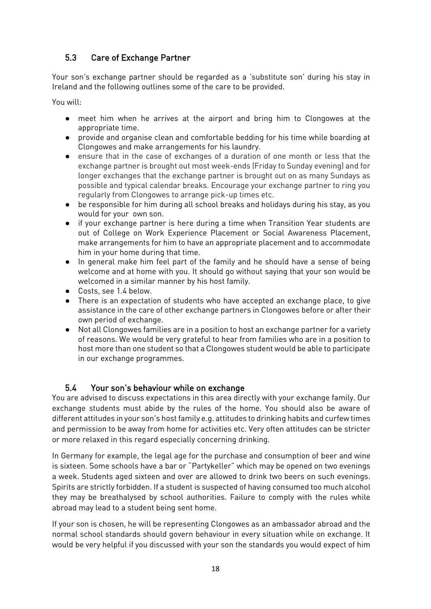## 5.3 Care of Exchange Partner

Your son's exchange partner should be regarded as a 'substitute son' during his stay in Ireland and the following outlines some of the care to be provided.

You will:

- meet him when he arrives at the airport and bring him to Clongowes at the appropriate time.
- provide and organise clean and comfortable bedding for his time while boarding at Clongowes and make arrangements for his laundry.
- ensure that in the case of exchanges of a duration of one month or less that the exchange partner is brought out most week-ends (Friday to Sunday evening) and for longer exchanges that the exchange partner is brought out on as many Sundays as possible and typical calendar breaks. Encourage your exchange partner to ring you regularly from Clongowes to arrange pick-up times etc.
- be responsible for him during all school breaks and holidays during his stay, as you would for your own son.
- if your exchange partner is here during a time when Transition Year students are out of College on Work Experience Placement or Social Awareness Placement, make arrangements for him to have an appropriate placement and to accommodate him in your home during that time.
- In general make him feel part of the family and he should have a sense of being welcome and at home with you. It should go without saying that your son would be welcomed in a similar manner by his host family.
- Costs, see 1.4 below.
- There is an expectation of students who have accepted an exchange place, to give assistance in the care of other exchange partners in Clongowes before or after their own period of exchange.
- Not all Clongowes families are in a position to host an exchange partner for a variety of reasons. We would be very grateful to hear from families who are in a position to host more than one student so that a Clongowes student would be able to participate in our exchange programmes.

## 5.4 Your son's behaviour while on exchange

You are advised to discuss expectations in this area directly with your exchange family. Our exchange students must abide by the rules of the home. You should also be aware of different attitudes in your son's host family e.g. attitudes to drinking habits and curfew times and permission to be away from home for activities etc. Very often attitudes can be stricter or more relaxed in this regard especially concerning drinking.

In Germany for example, the legal age for the purchase and consumption of beer and wine is sixteen. Some schools have a bar or "Partykeller" which may be opened on two evenings a week. Students aged sixteen and over are allowed to drink two beers on such evenings. Spirits are strictly forbidden. If a student is suspected of having consumed too much alcohol they may be breathalysed by school authorities. Failure to comply with the rules while abroad may lead to a student being sent home.

If your son is chosen, he will be representing Clongowes as an ambassador abroad and the normal school standards should govern behaviour in every situation while on exchange. It would be very helpful if you discussed with your son the standards you would expect of him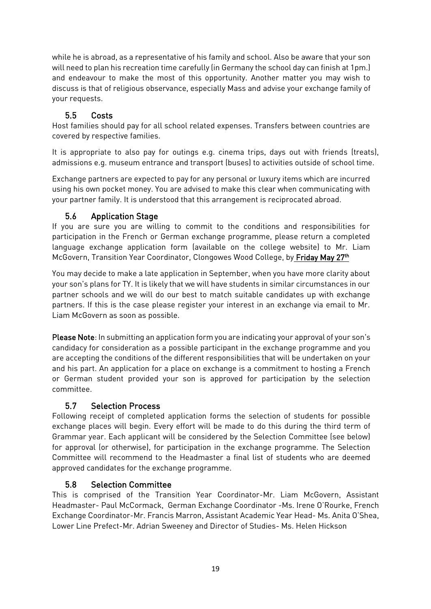while he is abroad, as a representative of his family and school. Also be aware that your son will need to plan his recreation time carefully (in Germany the school day can finish at 1pm.) and endeavour to make the most of this opportunity. Another matter you may wish to discuss is that of religious observance, especially Mass and advise your exchange family of your requests.

## 5.5 Costs

Host families should pay for all school related expenses. Transfers between countries are covered by respective families.

It is appropriate to also pay for outings e.g. cinema trips, days out with friends (treats), admissions e.g. museum entrance and transport (buses) to activities outside of school time.

Exchange partners are expected to pay for any personal or luxury items which are incurred using his own pocket money. You are advised to make this clear when communicating with your partner family. It is understood that this arrangement is reciprocated abroad.

## 5.6 Application Stage

If you are sure you are willing to commit to the conditions and responsibilities for participation in the French or German exchange programme, please return a completed language exchange application form (available on the college website) to Mr. Liam McGovern, Transition Year Coordinator, Clongowes Wood College, by Friday May 27th

You may decide to make a late application in September, when you have more clarity about your son's plans for TY. It is likely that we will have students in similar circumstances in our partner schools and we will do our best to match suitable candidates up with exchange partners. If this is the case please register your interest in an exchange via email to Mr. Liam McGovern as soon as possible.

Please Note: In submitting an application form you are indicating your approval of your son's candidacy for consideration as a possible participant in the exchange programme and you are accepting the conditions of the different responsibilities that will be undertaken on your and his part. An application for a place on exchange is a commitment to hosting a French or German student provided your son is approved for participation by the selection committee.

## 5.7 Selection Process

Following receipt of completed application forms the selection of students for possible exchange places will begin. Every effort will be made to do this during the third term of Grammar year. Each applicant will be considered by the Selection Committee (see below) for approval (or otherwise), for participation in the exchange programme. The Selection Committee will recommend to the Headmaster a final list of students who are deemed approved candidates for the exchange programme.

## 5.8 Selection Committee

This is comprised of the Transition Year Coordinator-Mr. Liam McGovern, Assistant Headmaster- Paul McCormack, German Exchange Coordinator -Ms. Irene O'Rourke, French Exchange Coordinator-Mr. Francis Marron, Assistant Academic Year Head- Ms. Anita O'Shea, Lower Line Prefect-Mr. Adrian Sweeney and Director of Studies- Ms. Helen Hickson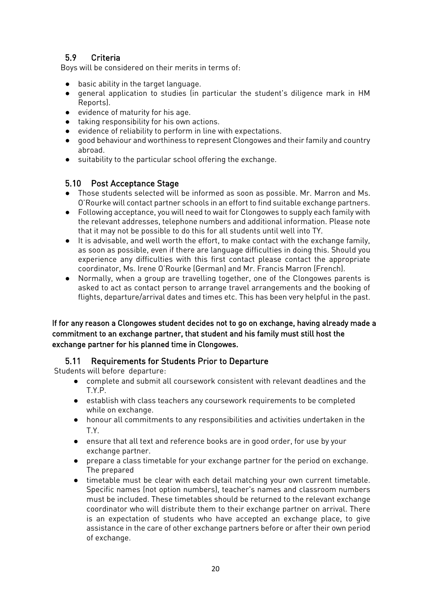## 5.9 Criteria

Boys will be considered on their merits in terms of:

- 
- basic ability in the target language.<br>● deneral application to studies (in general application to studies (in particular the student's diligence mark in HM Reports).
- evidence of maturity for his age.
- taking responsibility for his own actions.
- evidence of reliability to perform in line with expectations.
- good behaviour and worthiness to represent Clongowes and their family and country abroad.
- suitability to the particular school offering the exchange.

#### 5.10 Post Acceptance Stage

- Those students selected will be informed as soon as possible. Mr. Marron and Ms. O'Rourke will contact partner schools in an effort to find suitable exchange partners.
- Following acceptance, you will need to wait for Clongowes to supply each family with the relevant addresses, telephone numbers and additional information. Please note that it may not be possible to do this for all students until well into TY.
- It is advisable, and well worth the effort, to make contact with the exchange family, as soon as possible, even if there are language difficulties in doing this. Should you experience any difficulties with this first contact please contact the appropriate coordinator, Ms. Irene O'Rourke (German) and Mr. Francis Marron (French).
- Normally, when a group are travelling together, one of the Clongowes parents is asked to act as contact person to arrange travel arrangements and the booking of flights, departure/arrival dates and times etc. This has been very helpful in the past.

#### If for any reason a Clongowes student decides not to go on exchange, having already made a commitment to an exchange partner, that student and his family must still host the exchange partner for his planned time in Clongowes.

## 5.11 Requirements for Students Prior to Departure

Students will before departure:

- complete and submit all coursework consistent with relevant deadlines and the T.Y.P.
- establish with class teachers any coursework requirements to be completed while on exchange.
- honour all commitments to any responsibilities and activities undertaken in the T.Y.
- ensure that all text and reference books are in good order, for use by your exchange partner.
- prepare a class timetable for your exchange partner for the period on exchange. The prepared
- timetable must be clear with each detail matching your own current timetable. Specific names (not option numbers), teacher's names and classroom numbers must be included. These timetables should be returned to the relevant exchange coordinator who will distribute them to their exchange partner on arrival. There is an expectation of students who have accepted an exchange place, to give assistance in the care of other exchange partners before or after their own period of exchange.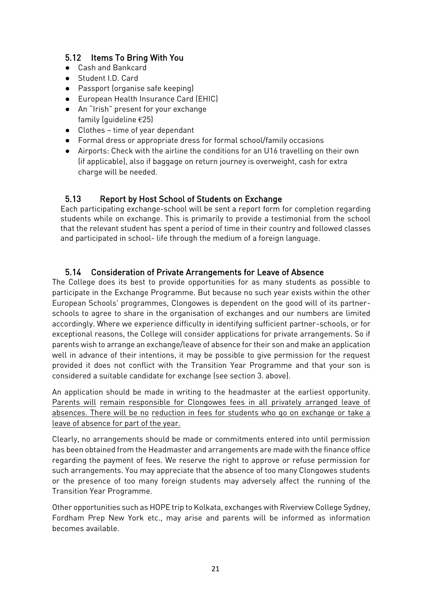## 5.12 Items To Bring With You

- Cash and Bankcard
- Student I.D. Card
- Passport (organise safe keeping)
- European Health Insurance Card (EHIC)
- An "Irish" present for your exchange family (quideline  $E$ 25)
- Clothes time of year dependant
- Formal dress or appropriate dress for formal school/family occasions
- Airports: Check with the airline the conditions for an U16 travelling on their own (if applicable), also if baggage on return journey is overweight, cash for extra charge will be needed.

## 5.13 Report by Host School of Students on Exchange

Each participating exchange-school will be sent a report form for completion regarding students while on exchange. This is primarily to provide a testimonial from the school that the relevant student has spent a period of time in their country and followed classes and participated in school- life through the medium of a foreign language.

## 5.14 Consideration of Private Arrangements for Leave of Absence

The College does its best to provide opportunities for as many students as possible to participate in the Exchange Programme. But because no such year exists within the other European Schools' programmes, Clongowes is dependent on the good will of its partnerschools to agree to share in the organisation of exchanges and our numbers are limited accordingly. Where we experience difficulty in identifying sufficient partner-schools, or for exceptional reasons, the College will consider applications for private arrangements. So if parents wish to arrange an exchange/leave of absence for their son and make an application well in advance of their intentions, it may be possible to give permission for the request provided it does not conflict with the Transition Year Programme and that your son is considered a suitable candidate for exchange (see section 3. above).

An application should be made in writing to the headmaster at the earliest opportunity. Parents will remain responsible for Clongowes fees in all privately arranged leave of absences. There will be no reduction in fees for students who go on exchange or take a leave of absence for part of the year.

Clearly, no arrangements should be made or commitments entered into until permission has been obtained from the Headmaster and arrangements are made with the finance office regarding the payment of fees. We reserve the right to approve or refuse permission for such arrangements. You may appreciate that the absence of too many Clongowes students or the presence of too many foreign students may adversely affect the running of the Transition Year Programme.

Other opportunities such as HOPE trip to Kolkata, exchanges with Riverview College Sydney, Fordham Prep New York etc., may arise and parents will be informed as information becomes available.